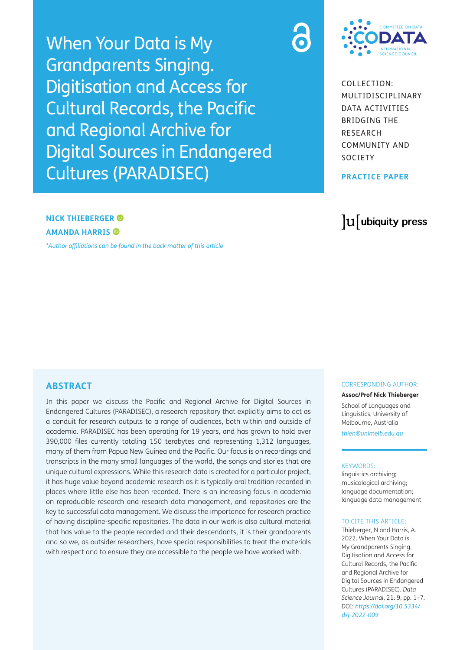When Your Data is My Grandparents Singing. Digitisation and Access for Cultural Records, the Pacific and Regional Archive for Digital Sources in Endangered Cultures (PARADISEC)



COLLECTION: MULTIDISCIPLINARY DATA ACTIVITIES BRIDGING THE RESEARCH COMMUNITY AND SOCIETY

**PRACTICE PAPER**

## **NICK THIEBERGER AMANDA HARRIS**

*[\\*Author affiliations can be found in the back matter of this article](#page-5-0)*

## **ABSTRACT**

In this paper we discuss the Pacific and Regional Archive for Digital Sources in Endangered Cultures (PARADISEC), a research repository that explicitly aims to act as a conduit for research outputs to a range of audiences, both within and outside of academia. PARADISEC has been operating for 19 years, and has grown to hold over 390,000 files currently totaling 150 terabytes and representing 1,312 languages, many of them from Papua New Guinea and the Pacific. Our focus is on recordings and transcripts in the many small languages of the world, the songs and stories that are unique cultural expressions. While this research data is created for a particular project, it has huge value beyond academic research as it is typically oral tradition recorded in places where little else has been recorded. There is an increasing focus in academia on reproducible research and research data management, and repositories are the key to successful data management. We discuss the importance for research practice of having discipline-specific repositories. The data in our work is also cultural material that has value to the people recorded and their descendants, it is their grandparents and so we, as outsider researchers, have special responsibilities to treat the materials with respect and to ensure they are accessible to the people we have worked with.

## lu ubiquity press

#### CORRESPONDING AUTHOR:

**Assoc/Prof Nick Thieberger**

School of Languages and Linguistics, University of Melbourne, Australia

*[thien@unimelb.edu.au](mailto:thien@unimelb.edu.au)*

#### KEYWORDS:

linguistics archiving; musicological archiving; language documentation; language data management

#### TO CITE THIS ARTICLE:

Thieberger, N and Harris, A. 2022. When Your Data is My Grandparents Singing. Digitisation and Access for Cultural Records, the Pacific and Regional Archive for Digital Sources in Endangered Cultures (PARADISEC). *Data Science Journal*, 21: 9, pp. 1–7. DOI: *[https://doi.org/10.5334/](https://doi.org/10.5334/dsj-2022-009) [dsj-2022-009](https://doi.org/10.5334/dsj-2022-009)*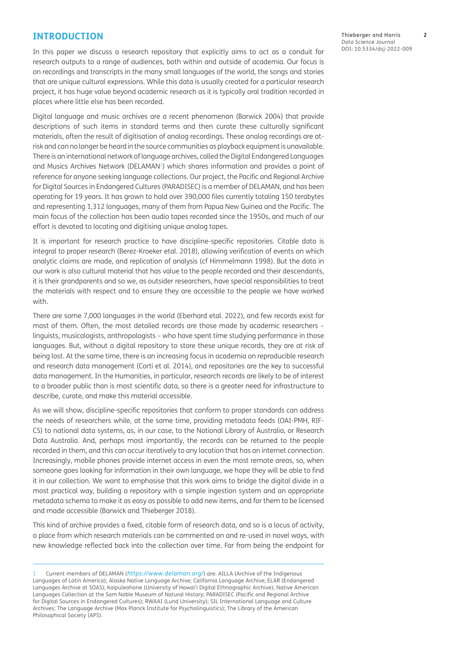#### **INTRODUCTION**

In this paper we discuss a research repository that explicitly aims to act as a conduit for research outputs to a range of audiences, both within and outside of academia. Our focus is on recordings and transcripts in the many small languages of the world, the songs and stories that are unique cultural expressions. While this data is usually created for a particular research project, it has huge value beyond academic research as it is typically oral tradition recorded in places where little else has been recorded.

Digital language and music archives are a recent phenomenon [\(Barwick 2004](#page-6-0)) that provide descriptions of such items in standard terms and then curate these culturally significant materials, often the result of digitisation of analog recordings. These analog recordings are atrisk and can no longer be heard in the source communities as playback equipment is unavailable. There is an international network of language archives, called the Digital Endangered Languages and Musics Archives Network (DELAMAN<sup>1</sup>) which shares information and provides a point of reference for anyone seeking language collections. Our project, the Pacific and Regional Archive for Digital Sources in Endangered Cultures (PARADISEC) is a member of DELAMAN, and has been operating for 19 years. It has grown to hold over 390,000 files currently totaling 150 terabytes and representing 1,312 languages, many of them from Papua New Guinea and the Pacific. The main focus of the collection has been audio tapes recorded since the 1950s, and much of our effort is devoted to locating and digitising unique analog tapes.

It is important for research practice to have discipline-specific repositories. Citable data is integral to proper research ([Berez-Kroeker etal. 2018](#page-6-1)), allowing verification of events on which analytic claims are made, and replication of analysis (cf [Himmelmann 1998\)](#page-6-2). But the data in our work is also cultural material that has value to the people recorded and their descendants, it is their grandparents and so we, as outsider researchers, have special responsibilities to treat the materials with respect and to ensure they are accessible to the people we have worked with.

There are some 7,000 languages in the world ([Eberhard etal. 2022\)](#page-6-3), and few records exist for most of them. Often, the most detailed records are those made by academic researchers – linguists, musicologists, anthropologists – who have spent time studying performance in those languages. But, without a digital repository to store these unique records, they are at risk of being lost. At the same time, there is an increasing focus in academia on reproducible research and research data management ([Corti et al. 2014](#page-6-4)), and repositories are the key to successful data management. In the Humanities, in particular, research records are likely to be of interest to a broader public than is most scientific data, so there is a greater need for infrastructure to describe, curate, and make this material accessible.

As we will show, discipline-specific repositories that conform to proper standards can address the needs of researchers while, at the same time, providing metadata feeds (OAI-PMH, RIF-CS) to national data systems, as, in our case, to the National Library of Australia, or Research Data Australia. And, perhaps most importantly, the records can be returned to the people recorded in them, and this can occur iteratively to any location that has an internet connection. Increasingly, mobile phones provide internet access in even the most remote areas, so, when someone goes looking for information in their own language, we hope they will be able to find it in our collection. We want to emphasise that this work aims to bridge the digital divide in a most practical way, building a repository with a simple ingestion system and an appropriate metadata schema to make it as easy as possible to add new items, and for them to be licensed and made accessible [\(Barwick and Thieberger 2018\)](#page-6-5).

This kind of archive provides a fixed, citable form of research data, and so is a locus of activity, a place from which research materials can be commented on and re-used in novel ways, with new knowledge reflected back into the collection over time. Far from being the endpoint for Thieberger and Harris **2** *Data Science Journal* DOI: 10.5334/dsj-2022-009

<span id="page-1-0"></span><sup>1</sup> Current members of DELAMAN (*<https://www.delaman.org/>*) are: AILLA (Archive of the Indigenous Languages of Latin America); Alaska Native Language Archive; California Language Archive; ELAR (Endangered Languages Archive at SOAS); Kaipuleohone (University of Hawai'i Digital Ethnographic Archive); Native American Languages Collection at the Sam Noble Museum of Natural History; PARADISEC (Pacific and Regional Archive for Digital Sources in Endangered Cultures); RWAAI (Lund University); SIL International Language and Culture Archives; The Language Archive (Max Planck Institute for Psycholinguistics); The Library of the American Philosophical Society (APS).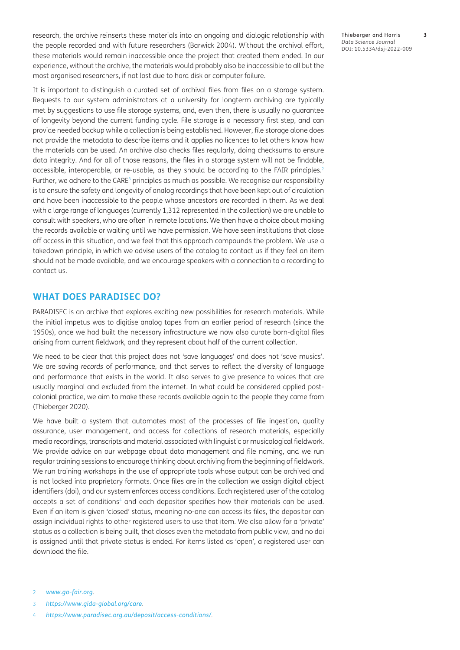research, the archive reinserts these materials into an ongoing and dialogic relationship with the people recorded and with future researchers [\(Barwick 2004\)](#page-6-0). Without the archival effort, these materials would remain inaccessible once the project that created them ended. In our experience, without the archive, the materials would probably also be inaccessible to all but the most organised researchers, if not lost due to hard disk or computer failure.

It is important to distinguish a curated set of archival files from files on a storage system. Requests to our system administrators at a university for longterm archiving are typically met by suggestions to use file storage systems, and, even then, there is usually no guarantee of longevity beyond the current funding cycle. File storage is a necessary first step, and can provide needed backup while a collection is being established. However, file storage alone does not provide the metadata to describe items and it applies no licences to let others know how the materials can be used. An archive also checks files regularly, doing checksums to ensure data integrity. And for all of those reasons, the files in a storage system will not be findable, accessible, interoperable, or re-usable, as they should be according to the FAIR principles.<sup>[2](#page-2-0)</sup> Further, we adhere to the CARE<sup>3</sup> principles as much as possible. We recognise our responsibility is to ensure the safety and longevity of analog recordings that have been kept out of circulation and have been inaccessible to the people whose ancestors are recorded in them. As we deal with a large range of languages (currently 1,312 represented in the collection) we are unable to consult with speakers, who are often in remote locations. We then have a choice about making the records available or waiting until we have permission. We have seen institutions that close off access in this situation, and we feel that this approach compounds the problem. We use a takedown principle, in which we advise users of the catalog to contact us if they feel an item should not be made available, and we encourage speakers with a connection to a recording to contact us.

#### **WHAT DOES PARADISEC DO?**

PARADISEC is an archive that explores exciting new possibilities for research materials. While the initial impetus was to digitise analog tapes from an earlier period of research (since the 1950s), once we had built the necessary infrastructure we now also curate born-digital files arising from current fieldwork, and they represent about half of the current collection.

We need to be clear that this project does not 'save languages' and does not 'save musics'. We are saving *records* of performance, and that serves to reflect the diversity of language and performance that exists in the world. It also serves to give presence to voices that are usually marginal and excluded from the internet. In what could be considered applied postcolonial practice, we aim to make these records available again to the people they came from [\(Thieberger 2020\)](#page-6-6).

We have built a system that automates most of the processes of file ingestion, quality assurance, user management, and access for collections of research materials, especially media recordings, transcripts and material associated with linguistic or musicological fieldwork. We provide advice on our webpage about data management and file naming, and we run regular training sessions to encourage thinking about archiving from the beginning of fieldwork. We run training workshops in the use of appropriate tools whose output can be archived and is not locked into proprietary formats. Once files are in the collection we assign digital object identifiers (doi), and our system enforces access conditions. Each registered user of the catalog accepts a set of conditions<sup>4</sup> and each depositor specifies how their materials can be used. Even if an item is given 'closed' status, meaning no-one can access its files, the depositor can assign individual rights to other registered users to use that item. We also allow for a 'private' status as a collection is being built, that closes even the metadata from public view, and no doi is assigned until that private status is ended. For items listed as 'open', a registered user can download the file.

<span id="page-2-1"></span>3 *<https://www.gida-global.org/care>*.

<span id="page-2-0"></span><sup>2</sup> *[www.go-fair.org](http://www.go-fair.org)*.

<span id="page-2-2"></span><sup>4</sup> *<https://www.paradisec.org.au/deposit/access-conditions/>*.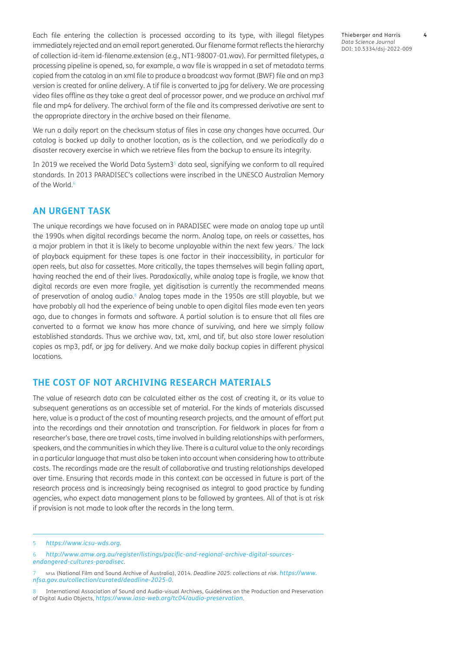Each file entering the collection is processed according to its type, with illegal filetypes immediately rejected and an email report generated. Our filename format reflects the hierarchy of collection id-item id-filename.extension (e.g., NT1-98007-01.wav). For permitted filetypes, a processing pipeline is opened, so, for example, a wav file is wrapped in a set of metadata terms copied from the catalog in an xml file to produce a broadcast wav format (BWF) file and an mp3 version is created for online delivery. A tif file is converted to jpg for delivery. We are processing video files offline as they take a great deal of processor power, and we produce an archival mxf file and mp4 for delivery. The archival form of the file and its compressed derivative are sent to the appropriate directory in the archive based on their filename.

We run a daily report on the checksum status of files in case any changes have occurred. Our catalog is backed up daily to another location, as is the collection, and we periodically do a disaster recovery exercise in which we retrieve files from the backup to ensure its integrity.

In 2019 we received the World Data System3<sup>[5](#page-3-0)</sup> data seal, signifying we conform to all required standards. In 2013 PARADISEC's collections were inscribed in the UNESCO Australian Memory of the World.[6](#page-3-1)

#### **AN URGENT TASK**

The unique recordings we have focused on in PARADISEC were made on analog tape up until the 1990s when digital recordings became the norm. Analog tape, on reels or cassettes, has a major problem in that it is likely to become unplayable within the next few years.<sup>7</sup> The lack of playback equipment for these tapes is one factor in their inaccessibility, in particular for open reels, but also for cassettes. More critically, the tapes themselves will begin falling apart, having reached the end of their lives. Paradoxically, while analog tape is fragile, we know that digital records are even more fragile, yet digitisation is currently the recommended means of preservation of analog audio.[8](#page-3-2) Analog tapes made in the 1950s are still playable, but we have probably all had the experience of being unable to open digital files made even ten years ago, due to changes in formats and software. A partial solution is to ensure that all files are converted to a format we know has more chance of surviving, and here we simply follow established standards. Thus we archive wav, txt, xml, and tif, but also store lower resolution copies as mp3, pdf, or jpg for delivery. And we make daily backup copies in different physical locations.

#### **THE COST OF NOT ARCHIVING RESEARCH MATERIALS**

The value of research data can be calculated either as the cost of creating it, or its value to subsequent generations as an accessible set of material. For the kinds of materials discussed here, value is a product of the cost of mounting research projects, and the amount of effort put into the recordings and their annotation and transcription. For fieldwork in places far from a researcher's base, there are travel costs, time involved in building relationships with performers, speakers, and the communities in which they live. There is a cultural value to the only recordings in a particular language that must also be taken into account when considering how to attribute costs. The recordings made are the result of collaborative and trusting relationships developed over time. Ensuring that records made in this context can be accessed in future is part of the research process and is increasingly being recognised as integral to good practice by funding agencies, who expect data management plans to be followed by grantees. All of that is at risk if provision is not made to look after the records in the long term.

Thieberger and Harris **4** *Data Science Journal* DOI: 10.5334/dsj-2022-009

<span id="page-3-0"></span><sup>5</sup> *<https://www.icsu-wds.org>*.

<span id="page-3-1"></span><sup>6</sup> *[http://www.amw.org.au/register/listings/pacific-and-regional-archive-digital-sources](http://www.amw.org.au/register/listings/pacific-and-regional-archive-digital-sources-endangered-cultures-paradisec)[endangered-cultures-paradisec](http://www.amw.org.au/register/listings/pacific-and-regional-archive-digital-sources-endangered-cultures-paradisec)*.

<sup>7</sup> nfsa (National Film and Sound Archive of Australia), 2014. *Deadline 2025: collections at risk. [https://www.](https://www.nfsa.gov.au/collection/curated/deadline-2025-0) [nfsa.gov.au/collection/curated/deadline-2025-0](https://www.nfsa.gov.au/collection/curated/deadline-2025-0)*.

<span id="page-3-2"></span><sup>8</sup> International Association of Sound and Audio-visual Archives, Guidelines on the Production and Preservation of Digital Audio Objects, *<https://www.iasa-web.org/tc04/audio-preservation>*.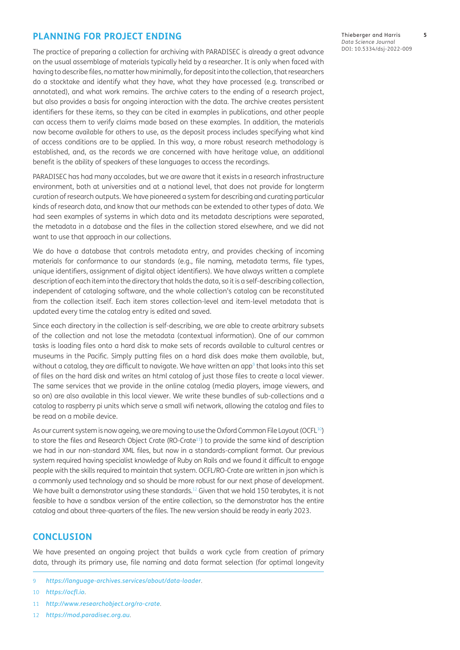#### <span id="page-4-0"></span>**PLANNING FOR PROJECT ENDING**

The practice of preparing a collection for archiving with PARADISEC is already a great advance on the usual assemblage of materials typically held by a researcher. It is only when faced with having to describe files, no matter how minimally, for deposit into the collection, that researchers do a stocktake and identify what they have, what they have processed (e.g. transcribed or annotated), and what work remains. The archive caters to the ending of a research project, but also provides a basis for ongoing interaction with the data. The archive creates persistent identifiers for these items, so they can be cited in examples in publications, and other people can access them to verify claims made based on these examples. In addition, the materials now become available for others to use, as the deposit process includes specifying what kind of access conditions are to be applied. In this way, a more robust research methodology is established, and, as the records we are concerned with have heritage value, an additional benefit is the ability of speakers of these languages to access the recordings.

PARADISEC has had many accolades, but we are aware that it exists in a research infrastructure environment, both at universities and at a national level, that does not provide for longterm curation of research outputs. We have pioneered a system for describing and curating particular kinds of research data, and know that our methods can be extended to other types of data. We had seen examples of systems in which data and its metadata descriptions were separated, the metadata in a database and the files in the collection stored elsewhere, and we did not want to use that approach in our collections.

We do have a database that controls metadata entry, and provides checking of incoming materials for conformance to our standards (e.g., file naming, metadata terms, file types, unique identifiers, assignment of digital object identifiers). We have always written a complete description of each item into the directory that holds the data, so it is a self-describing collection, independent of cataloging software, and the whole collection's catalog can be reconstituted from the collection itself. Each item stores collection-level and item-level metadata that is updated every time the catalog entry is edited and saved.

Since each directory in the collection is self-describing, we are able to create arbitrary subsets of the collection and not lose the metadata (contextual information). One of our common tasks is loading files onto a hard disk to make sets of records available to cultural centres or museums in the Pacific. Simply putting files on a hard disk does make them available, but, without a catalog, they are difficult to navigate. We have written an app<sup>9</sup> that looks into this set of files on the hard disk and writes an html catalog of just those files to create a local viewer. The same services that we provide in the online catalog (media players, image viewers, and so on) are also available in this local viewer. We write these bundles of sub-collections and a catalog to raspberry pi units which serve a small wifi network, allowing the catalog and files to be read on a mobile device.

As our current system is now ageing, we are moving to use the Oxford Common File Layout (OCFL<sup>10</sup>) to store the files and Research Object Crate (RO-Crate<sup>11</sup>) to provide the same kind of description we had in our non-standard XML files, but now in a standards-compliant format. Our previous system required having specialist knowledge of Ruby on Rails and we found it difficult to engage people with the skills required to maintain that system. OCFL/RO-Crate are written in json which is a commonly used technology and so should be more robust for our next phase of development. We have built a demonstrator using these standards.<sup>12</sup> Given that we hold 150 terabytes, it is not feasible to have a sandbox version of the entire collection, so the demonstrator has the entire catalog and about three-quarters of the files. The new version should be ready in early 2023.

## **CONCLUSION**

We have presented an ongoing project that builds a work cycle from creation of primary data, through its primary use, file naming and data format selection (for optimal longevity

<span id="page-4-1"></span><sup>9</sup> *<https://language-archives.services/about/data-loader>*.

<span id="page-4-2"></span><sup>10</sup> *<https://ocfl.io>*.

<span id="page-4-3"></span><sup>11</sup> *<http://www.researchobject.org/ro-crate>*.

<span id="page-4-4"></span><sup>12</sup> *<https://mod.paradisec.org.au>*.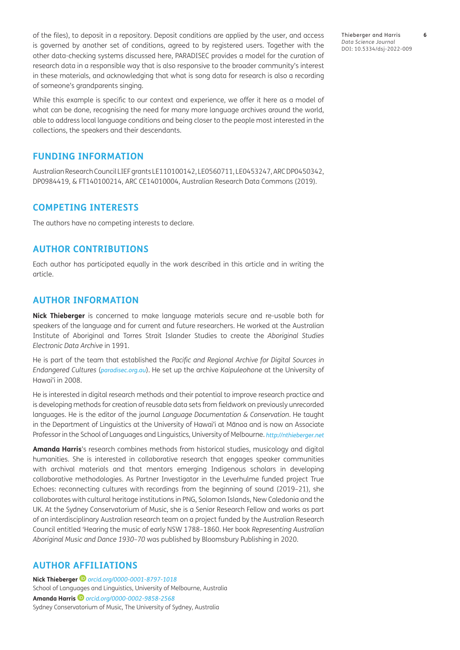of the files), to deposit in a repository. Deposit conditions are applied by the user, and access is governed by another set of conditions, agreed to by registered users. Together with the other data-checking systems discussed here, PARADISEC provides a model for the curation of research data in a responsible way that is also responsive to the broader community's interest in these materials, and acknowledging that what is song data for research is also a recording of someone's grandparents singing.

While this example is specific to our context and experience, we offer it here as a model of what can be done, recognising the need for many more language archives around the world, able to address local language conditions and being closer to the people most interested in the collections, the speakers and their descendants.

#### **FUNDING INFORMATION**

Australian Research Council LIEF grants LE110100142, LE0560711, LE0453247, ARC DP0450342, DP0984419, & FT140100214, ARC CE14010004, Australian Research Data Commons (2019).

#### **COMPETING INTERESTS**

The authors have no competing interests to declare.

#### **AUTHOR CONTRIBUTIONS**

Each author has participated equally in the work described in this article and in writing the article.

## **AUTHOR INFORMATION**

**Nick Thieberger** is concerned to make language materials secure and re-usable both for speakers of the language and for current and future researchers. He worked at the Australian Institute of Aboriginal and Torres Strait Islander Studies to create the *Aboriginal Studies Electronic Data Archive* in 1991.

He is part of the team that established the *Pacific and Regional Archive for Digital Sources in Endangered Cultures* (*[paradisec.org.au](http://paradisec.org.au)*). He set up the archive *Kaipuleohone* at the University of Hawai'i in 2008.

He is interested in digital research methods and their potential to improve research practice and is developing methods for creation of reusable data sets from fieldwork on previously unrecorded languages. He is the editor of the journal *Language Documentation & Conservation*. He taught in the Department of Linguistics at the University of Hawai'i at Mānoa and is now an Associate Professor in the School of Languages and Linguistics, University of Melbourne. *<http://nthieberger.net>*

**Amanda Harris**'s research combines methods from historical studies, musicology and digital humanities. She is interested in collaborative research that engages speaker communities with archival materials and that mentors emerging Indigenous scholars in developing collaborative methodologies. As Partner Investigator in the Leverhulme funded project True Echoes: reconnecting cultures with recordings from the beginning of sound (2019–21), she collaborates with cultural heritage institutions in PNG, Solomon Islands, New Caledonia and the UK. At the Sydney Conservatorium of Music, she is a Senior Research Fellow and works as part of an interdisciplinary Australian research team on a project funded by the Australian Research Council entitled 'Hearing the music of early NSW 1788–1860. Her book *Representing Australian Aboriginal Music and Dance 1930–70* was published by Bloomsbury Publishing in 2020.

#### <span id="page-5-0"></span>**AUTHOR AFFILIATIONS**

**Nick Thieberger** *[orcid.org/0000-0001-8797-1018](https://orcid.org/0000-0001-8797-1018)* School of Languages and Linguistics, University of Melbourne, Australia **Amanda Harris** *[orcid.org/0000-0002-9858-2568](https://orcid.org/0000-0002-9858-2568)* Sydney Conservatorium of Music, The University of Sydney, Australia